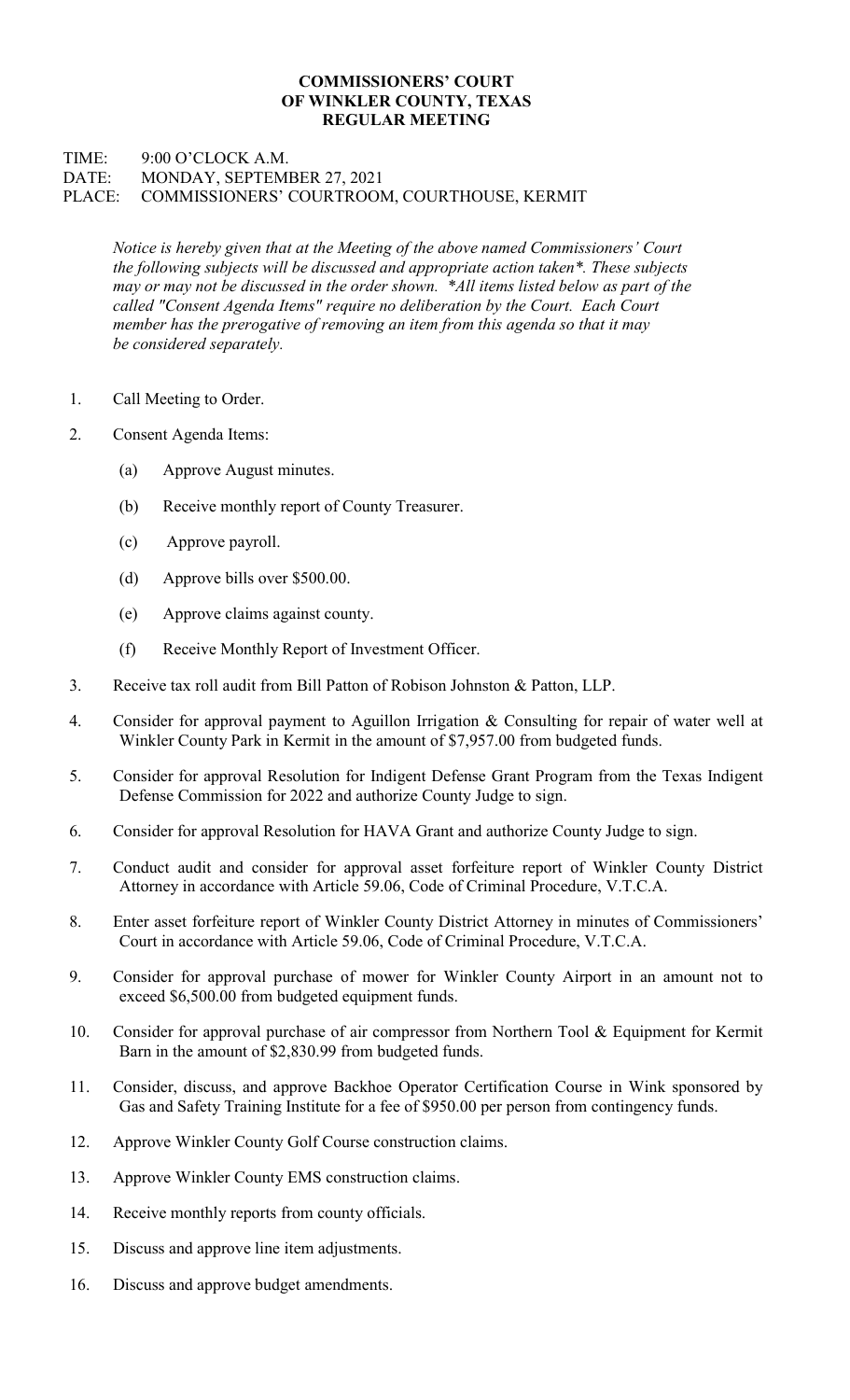## COMMISSIONERS' COURT OF WINKLER COUNTY, TEXAS REGULAR MEETING

## TIME: 9:00 O'CLOCK A.M. DATE: MONDAY, SEPTEMBER 27, 2021 PLACE: COMMISSIONERS' COURTROOM, COURTHOUSE, KERMIT

Notice is hereby given that at the Meeting of the above named Commissioners' Court the following subjects will be discussed and appropriate action taken\*. These subjects may or may not be discussed in the order shown. \*All items listed below as part of the called "Consent Agenda Items" require no deliberation by the Court. Each Court member has the prerogative of removing an item from this agenda so that it may be considered separately.

- 1. Call Meeting to Order.
- 2. Consent Agenda Items:
	- (a) Approve August minutes.
	- (b) Receive monthly report of County Treasurer.
	- (c) Approve payroll.
	- (d) Approve bills over \$500.00.
	- (e) Approve claims against county.
	- (f) Receive Monthly Report of Investment Officer.
- 3. Receive tax roll audit from Bill Patton of Robison Johnston & Patton, LLP.
- 4. Consider for approval payment to Aguillon Irrigation & Consulting for repair of water well at Winkler County Park in Kermit in the amount of \$7,957.00 from budgeted funds.
- 5. Consider for approval Resolution for Indigent Defense Grant Program from the Texas Indigent Defense Commission for 2022 and authorize County Judge to sign.
- 6. Consider for approval Resolution for HAVA Grant and authorize County Judge to sign.
- 7. Conduct audit and consider for approval asset forfeiture report of Winkler County District Attorney in accordance with Article 59.06, Code of Criminal Procedure, V.T.C.A.
- 8. Enter asset forfeiture report of Winkler County District Attorney in minutes of Commissioners' Court in accordance with Article 59.06, Code of Criminal Procedure, V.T.C.A.
- 9. Consider for approval purchase of mower for Winkler County Airport in an amount not to exceed \$6,500.00 from budgeted equipment funds.
- 10. Consider for approval purchase of air compressor from Northern Tool & Equipment for Kermit Barn in the amount of \$2,830.99 from budgeted funds.
- 11. Consider, discuss, and approve Backhoe Operator Certification Course in Wink sponsored by Gas and Safety Training Institute for a fee of \$950.00 per person from contingency funds.
- 12. Approve Winkler County Golf Course construction claims.
- 13. Approve Winkler County EMS construction claims.
- 14. Receive monthly reports from county officials.
- 15. Discuss and approve line item adjustments.
- 16. Discuss and approve budget amendments.